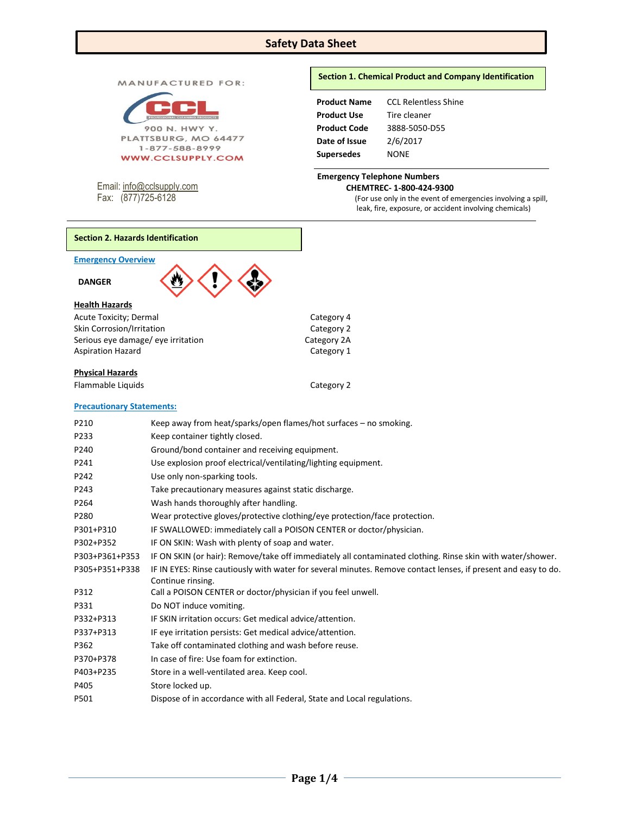## **Safety Data Sheet**

MANUFACTURED FOR:



Email[: info@cclsupply.com](mailto:info@cclsupply.com) Fax: (877)725-6128

#### **Section 1. Chemical Product and Company Identification**

| <b>Product Name</b> | <b>CCL Relentless Shine</b> |
|---------------------|-----------------------------|
| <b>Product Use</b>  | Tire cleaner                |
| <b>Product Code</b> | 3888-5050-D55               |
| Date of Issue       | 2/6/2017                    |
| <b>Supersedes</b>   | NONE                        |

#### **Emergency Telephone Numbers CHEMTREC- 1-800-424-9300**

(For use only in the event of emergencies involving a spill, leak, fire, exposure, or accident involving chemicals)

## **Section 2. Hazards Identification**

#### **Emergency Overview**



| Acute Toxicity; Dermal             |
|------------------------------------|
| Skin Corrosion/Irritation          |
| Serious eye damage/ eye irritation |
| <b>Aspiration Hazard</b>           |

## **Physical Hazards**

Flammable Liquids **Category 2** 

Category 4 Category 2 Category 2A Category 1

## **Precautionary Statements:**

| P210           | Keep away from heat/sparks/open flames/hot surfaces – no smoking.                                                                   |
|----------------|-------------------------------------------------------------------------------------------------------------------------------------|
| P233           | Keep container tightly closed.                                                                                                      |
| P240           | Ground/bond container and receiving equipment.                                                                                      |
| P241           | Use explosion proof electrical/ventilating/lighting equipment.                                                                      |
| P242           | Use only non-sparking tools.                                                                                                        |
| P243           | Take precautionary measures against static discharge.                                                                               |
| P264           | Wash hands thoroughly after handling.                                                                                               |
| P280           | Wear protective gloves/protective clothing/eye protection/face protection.                                                          |
| P301+P310      | IF SWALLOWED: immediately call a POISON CENTER or doctor/physician.                                                                 |
| P302+P352      | IF ON SKIN: Wash with plenty of soap and water.                                                                                     |
| P303+P361+P353 | IF ON SKIN (or hair): Remove/take off immediately all contaminated clothing. Rinse skin with water/shower.                          |
| P305+P351+P338 | IF IN EYES: Rinse cautiously with water for several minutes. Remove contact lenses, if present and easy to do.<br>Continue rinsing. |
| P312           | Call a POISON CENTER or doctor/physician if you feel unwell.                                                                        |
| P331           | Do NOT induce vomiting.                                                                                                             |
| P332+P313      | IF SKIN irritation occurs: Get medical advice/attention.                                                                            |
| P337+P313      | IF eye irritation persists: Get medical advice/attention.                                                                           |
| P362           | Take off contaminated clothing and wash before reuse.                                                                               |
| P370+P378      | In case of fire: Use foam for extinction.                                                                                           |
| P403+P235      | Store in a well-ventilated area. Keep cool.                                                                                         |
| P405           | Store locked up.                                                                                                                    |
| P501           | Dispose of in accordance with all Federal, State and Local regulations.                                                             |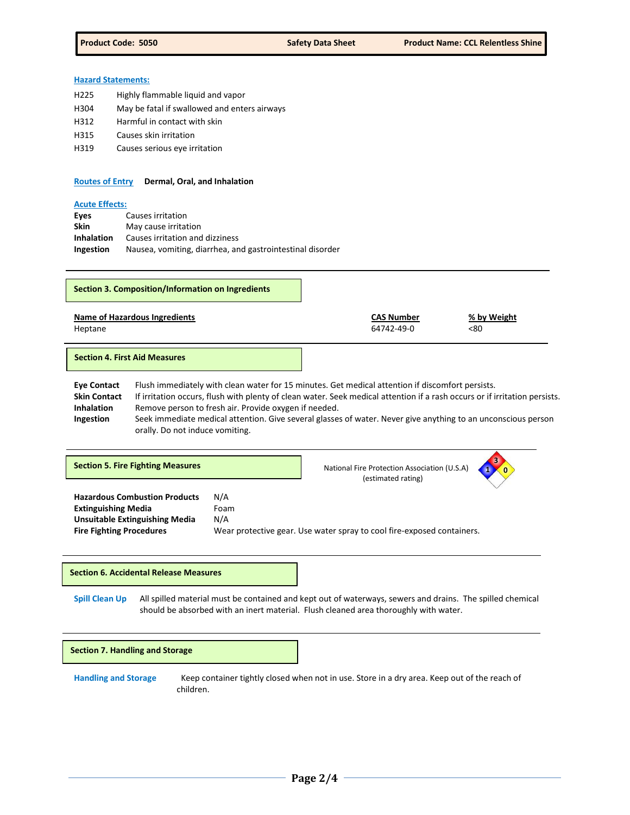#### **Hazard Statements:**

- H225 Highly flammable liquid and vapor
- H304 May be fatal if swallowed and enters airways
- H312 Harmful in contact with skin
- H315 Causes skin irritation
- H319 Causes serious eye irritation

#### **Routes of Entry Dermal, Oral, and Inhalation**

#### **Acute Effects:**

| Eyes              | Causes irritation                                         |
|-------------------|-----------------------------------------------------------|
| Skin              | May cause irritation                                      |
| <b>Inhalation</b> | Causes irritation and dizziness                           |
| Ingestion         | Nausea, vomiting, diarrhea, and gastrointestinal disorder |

|                                                                                                                                                                                                                                                                                                                                                                                                                                                                                                                            | <b>Section 3. Composition/Information on Ingredients</b> |                                                                        |  |                                                                    |                    |
|----------------------------------------------------------------------------------------------------------------------------------------------------------------------------------------------------------------------------------------------------------------------------------------------------------------------------------------------------------------------------------------------------------------------------------------------------------------------------------------------------------------------------|----------------------------------------------------------|------------------------------------------------------------------------|--|--------------------------------------------------------------------|--------------------|
| Heptane                                                                                                                                                                                                                                                                                                                                                                                                                                                                                                                    | <b>Name of Hazardous Ingredients</b>                     |                                                                        |  | <b>CAS Number</b><br>64742-49-0                                    | % by Weight<br><80 |
| <b>Section 4. First Aid Measures</b>                                                                                                                                                                                                                                                                                                                                                                                                                                                                                       |                                                          |                                                                        |  |                                                                    |                    |
| <b>Eye Contact</b><br>Flush immediately with clean water for 15 minutes. Get medical attention if discomfort persists.<br><b>Skin Contact</b><br>If irritation occurs, flush with plenty of clean water. Seek medical attention if a rash occurs or if irritation persists.<br>Remove person to fresh air. Provide oxygen if needed.<br><b>Inhalation</b><br>Seek immediate medical attention. Give several glasses of water. Never give anything to an unconscious person<br>Ingestion<br>orally. Do not induce vomiting. |                                                          |                                                                        |  |                                                                    |                    |
|                                                                                                                                                                                                                                                                                                                                                                                                                                                                                                                            | <b>Section 5. Fire Fighting Measures</b>                 |                                                                        |  | National Fire Protection Association (U.S.A)<br>(estimated rating) |                    |
| <b>Hazardous Combustion Products</b><br>N/A<br><b>Extinguishing Media</b><br>Foam<br>N/A<br><b>Unsuitable Extinguishing Media</b><br><b>Fire Fighting Procedures</b>                                                                                                                                                                                                                                                                                                                                                       |                                                          | Wear protective gear. Use water spray to cool fire-exposed containers. |  |                                                                    |                    |
|                                                                                                                                                                                                                                                                                                                                                                                                                                                                                                                            |                                                          |                                                                        |  |                                                                    |                    |

## **Section 6. Accidental Release Measures**

**Spill Clean Up** All spilled material must be contained and kept out of waterways, sewers and drains. The spilled chemical should be absorbed with an inert material. Flush cleaned area thoroughly with water.

#### **Section 7. Handling and Storage**

**Handling and Storage** Keep container tightly closed when not in use. Store in a dry area. Keep out of the reach of children.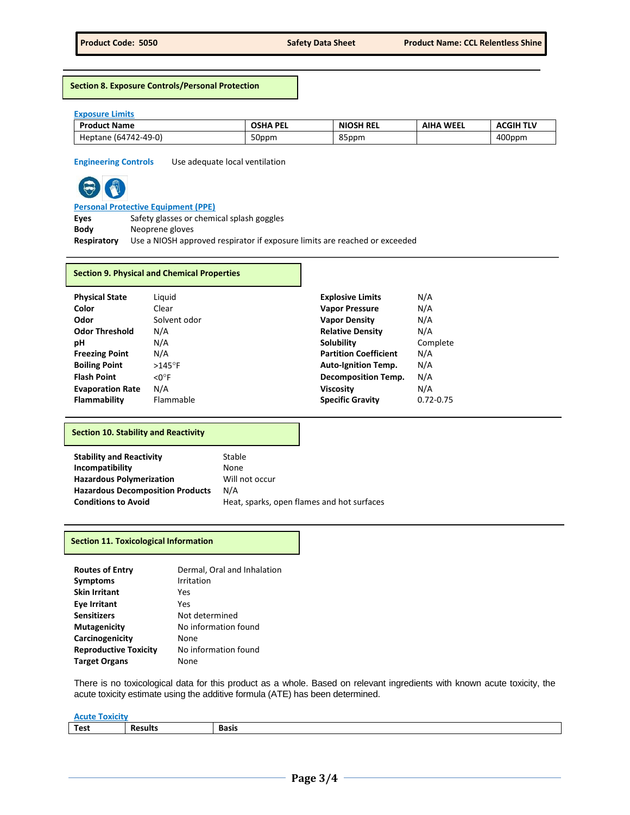**Section 8. Exposure Controls/Personal Protection**

#### **Exposure Limits**

| <b>Product Name</b>         | <b>DEI</b><br><b>OCUA</b><br>пÆ<br>. . | <b>NIOSH REL</b>  | WEEL<br>AIHA<br>. | <b>ACGIH TLV</b> |
|-----------------------------|----------------------------------------|-------------------|-------------------|------------------|
| 742-49-0)<br>Heptane<br>'ы. | 50ppm                                  | $\Omega$<br>85ppm |                   | 400ppm           |

**Engineering Controls** Use adequate local ventilation



# **Personal Protective Equipment (PPE)**

**Eyes** Safety glasses or chemical splash goggles **Body** Neoprene gloves **Respiratory** Use a NIOSH approved respirator if exposure limits are reached or exceeded

#### **Section 9. Physical and Chemical Properties**

| <b>Physical State</b>   | Liguid             | <b>Explosive Limits</b>      | N/A           |
|-------------------------|--------------------|------------------------------|---------------|
| Color                   | Clear              | <b>Vapor Pressure</b>        | N/A           |
| Odor                    | Solvent odor       | <b>Vapor Density</b>         | N/A           |
| <b>Odor Threshold</b>   | N/A                | <b>Relative Density</b>      | N/A           |
| рH                      | N/A                | Solubility                   | Complete      |
| <b>Freezing Point</b>   | N/A                | <b>Partition Coefficient</b> | N/A           |
| <b>Boiling Point</b>    | $>145^\circ$ F     | <b>Auto-Ignition Temp.</b>   | N/A           |
| <b>Flash Point</b>      | $<$ O $^{\circ}$ F | <b>Decomposition Temp.</b>   | N/A           |
| <b>Evaporation Rate</b> | N/A                | <b>Viscosity</b>             | N/A           |
| <b>Flammability</b>     | Flammable          | <b>Specific Gravity</b>      | $0.72 - 0.75$ |

#### **Section 10. Stability and Reactivity**

| <b>Stability and Reactivity</b>         | Stable                                     |
|-----------------------------------------|--------------------------------------------|
| Incompatibility                         | None                                       |
| <b>Hazardous Polymerization</b>         | Will not occur                             |
| <b>Hazardous Decomposition Products</b> | N/A                                        |
| <b>Conditions to Avoid</b>              | Heat, sparks, open flames and hot surfaces |

#### **Section 11. Toxicological Information**

| <b>Routes of Entry</b><br><b>Symptoms</b> | Dermal, Oral and Inhalation<br>Irritation |
|-------------------------------------------|-------------------------------------------|
| <b>Skin Irritant</b>                      | Yes                                       |
| <b>Eye Irritant</b>                       | Yes                                       |
| <b>Sensitizers</b>                        | Not determined                            |
| <b>Mutagenicity</b>                       | No information found                      |
| Carcinogenicity                           | None                                      |
| <b>Reproductive Toxicity</b>              | No information found                      |
| <b>Target Organs</b>                      | None                                      |

There is no toxicological data for this product as a whole. Based on relevant ingredients with known acute toxicity, the acute toxicity estimate using the additive formula (ATE) has been determined.

| $\sim$ $\sim$ $\sim$ $\sim$ $\sim$<br><b>RUML</b> |      |       |
|---------------------------------------------------|------|-------|
| Test                                              | ults | Basis |
|                                                   |      |       |